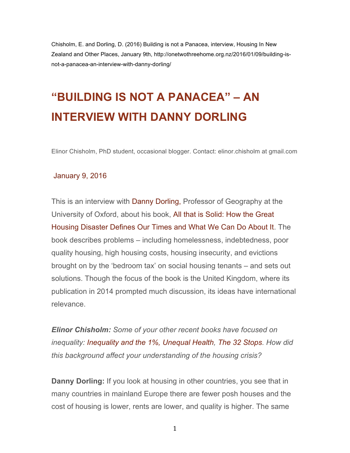Chisholm, E. and Dorling, D. (2016) Building is not a Panacea, interview, Housing In New Zealand and Other Places, January 9th, http://onetwothreehome.org.nz/2016/01/09/building-isnot-a-panacea-an-interview-with-danny-dorling/

## **"BUILDING IS NOT A PANACEA" – AN INTERVIEW WITH DANNY DORLING**

Elinor Chisholm, PhD student, occasional blogger. Contact: elinor.chisholm at gmail.com

## January 9, 2016

This is an interview with Danny Dorling, Professor of Geography at the University of Oxford, about his book, All that is Solid: How the Great Housing Disaster Defines Our Times and What We Can Do About It. The book describes problems – including homelessness, indebtedness, poor quality housing, high housing costs, housing insecurity, and evictions brought on by the 'bedroom tax' on social housing tenants – and sets out solutions. Though the focus of the book is the United Kingdom, where its publication in 2014 prompted much discussion, its ideas have international relevance.

*Elinor Chisholm: Some of your other recent books have focused on inequality: Inequality and the 1%, Unequal Health, The 32 Stops. How did this background affect your understanding of the housing crisis?*

**Danny Dorling:** If you look at housing in other countries, you see that in many countries in mainland Europe there are fewer posh houses and the cost of housing is lower, rents are lower, and quality is higher. The same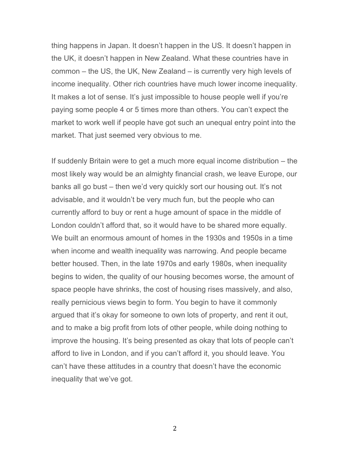thing happens in Japan. It doesn't happen in the US. It doesn't happen in the UK, it doesn't happen in New Zealand. What these countries have in common – the US, the UK, New Zealand – is currently very high levels of income inequality. Other rich countries have much lower income inequality. It makes a lot of sense. It's just impossible to house people well if you're paying some people 4 or 5 times more than others. You can't expect the market to work well if people have got such an unequal entry point into the market. That just seemed very obvious to me.

If suddenly Britain were to get a much more equal income distribution – the most likely way would be an almighty financial crash, we leave Europe, our banks all go bust – then we'd very quickly sort our housing out. It's not advisable, and it wouldn't be very much fun, but the people who can currently afford to buy or rent a huge amount of space in the middle of London couldn't afford that, so it would have to be shared more equally. We built an enormous amount of homes in the 1930s and 1950s in a time when income and wealth inequality was narrowing. And people became better housed. Then, in the late 1970s and early 1980s, when inequality begins to widen, the quality of our housing becomes worse, the amount of space people have shrinks, the cost of housing rises massively, and also, really pernicious views begin to form. You begin to have it commonly argued that it's okay for someone to own lots of property, and rent it out, and to make a big profit from lots of other people, while doing nothing to improve the housing. It's being presented as okay that lots of people can't afford to live in London, and if you can't afford it, you should leave. You can't have these attitudes in a country that doesn't have the economic inequality that we've got.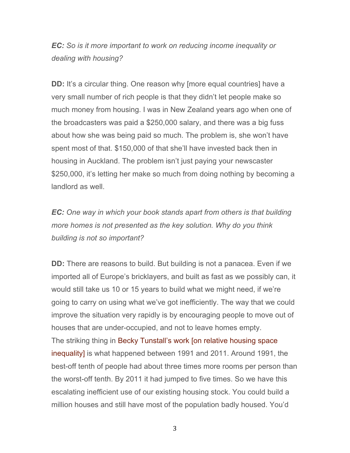*EC: So is it more important to work on reducing income inequality or dealing with housing?*

**DD:** It's a circular thing. One reason why [more equal countries] have a very small number of rich people is that they didn't let people make so much money from housing. I was in New Zealand years ago when one of the broadcasters was paid a \$250,000 salary, and there was a big fuss about how she was being paid so much. The problem is, she won't have spent most of that. \$150,000 of that she'll have invested back then in housing in Auckland. The problem isn't just paying your newscaster \$250,000, it's letting her make so much from doing nothing by becoming a landlord as well.

*EC: One way in which your book stands apart from others is that building more homes is not presented as the key solution. Why do you think building is not so important?*

**DD:** There are reasons to build. But building is not a panacea. Even if we imported all of Europe's bricklayers, and built as fast as we possibly can, it would still take us 10 or 15 years to build what we might need, if we're going to carry on using what we've got inefficiently. The way that we could improve the situation very rapidly is by encouraging people to move out of houses that are under-occupied, and not to leave homes empty. The striking thing in Becky Tunstall's work [on relative housing space inequality] is what happened between 1991 and 2011. Around 1991, the best-off tenth of people had about three times more rooms per person than the worst-off tenth. By 2011 it had jumped to five times. So we have this escalating inefficient use of our existing housing stock. You could build a million houses and still have most of the population badly housed. You'd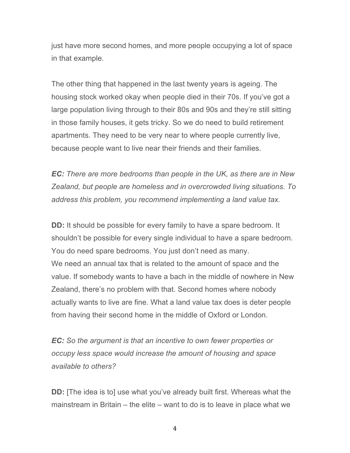just have more second homes, and more people occupying a lot of space in that example.

The other thing that happened in the last twenty years is ageing. The housing stock worked okay when people died in their 70s. If you've got a large population living through to their 80s and 90s and they're still sitting in those family houses, it gets tricky. So we do need to build retirement apartments. They need to be very near to where people currently live, because people want to live near their friends and their families.

*EC: There are more bedrooms than people in the UK, as there are in New Zealand, but people are homeless and in overcrowded living situations. To address this problem, you recommend implementing a land value tax.*

**DD:** It should be possible for every family to have a spare bedroom. It shouldn't be possible for every single individual to have a spare bedroom. You do need spare bedrooms. You just don't need as many. We need an annual tax that is related to the amount of space and the value. If somebody wants to have a bach in the middle of nowhere in New Zealand, there's no problem with that. Second homes where nobody actually wants to live are fine. What a land value tax does is deter people from having their second home in the middle of Oxford or London.

*EC: So the argument is that an incentive to own fewer properties or occupy less space would increase the amount of housing and space available to others?*

**DD:** [The idea is to] use what you've already built first. Whereas what the mainstream in Britain – the elite – want to do is to leave in place what we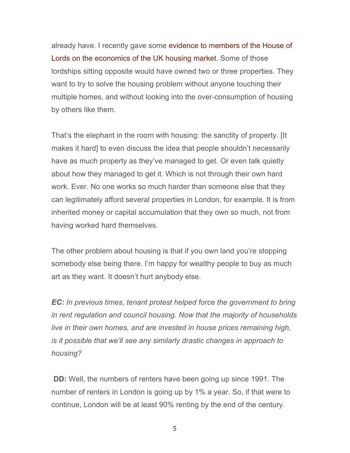already have. I recently gave some evidence to members of the House of Lords on the economics of the UK housing market. Some of those lordships sitting opposite would have owned two or three properties. They want to try to solve the housing problem without anyone touching their multiple homes, and without looking into the over-consumption of housing by others like them.

That's the elephant in the room with housing: the sanctity of property. [It makes it hard] to even discuss the idea that people shouldn't necessarily have as much property as they've managed to get. Or even talk quietly about how they managed to get it. Which is not through their own hard work. Ever. No one works so much harder than someone else that they can legitimately afford several properties in London, for example. It is from inherited money or capital accumulation that they own so much, not from having worked hard themselves.

The other problem about housing is that if you own land you're stopping somebody else being there. I'm happy for wealthy people to buy as much art as they want. It doesn't hurt anybody else.

*EC: In previous times, tenant protest helped force the government to bring in rent regulation and council housing. Now that the majority of households live in their own homes, and are invested in house prices remaining high, is it possible that we'll see any similarly drastic changes in approach to housing?*

**DD:** Well, the numbers of renters have been going up since 1991. The number of renters in London is going up by 1% a year. So, if that were to continue, London will be at least 90% renting by the end of the century.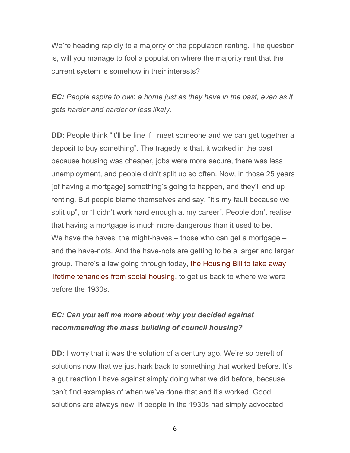We're heading rapidly to a majority of the population renting. The question is, will you manage to fool a population where the majority rent that the current system is somehow in their interests?

*EC: People aspire to own a home just as they have in the past, even as it gets harder and harder or less likely.*

**DD:** People think "it'll be fine if I meet someone and we can get together a deposit to buy something". The tragedy is that, it worked in the past because housing was cheaper, jobs were more secure, there was less unemployment, and people didn't split up so often. Now, in those 25 years [of having a mortgage] something's going to happen, and they'll end up renting. But people blame themselves and say, "it's my fault because we split up", or "I didn't work hard enough at my career". People don't realise that having a mortgage is much more dangerous than it used to be. We have the haves, the might-haves – those who can get a mortgage – and the have-nots. And the have-nots are getting to be a larger and larger group. There's a law going through today, the Housing Bill to take away lifetime tenancies from social housing, to get us back to where we were before the 1930s.

## *EC: Can you tell me more about why you decided against recommending the mass building of council housing?*

**DD:** I worry that it was the solution of a century ago. We're so bereft of solutions now that we just hark back to something that worked before. It's a gut reaction I have against simply doing what we did before, because I can't find examples of when we've done that and it's worked. Good solutions are always new. If people in the 1930s had simply advocated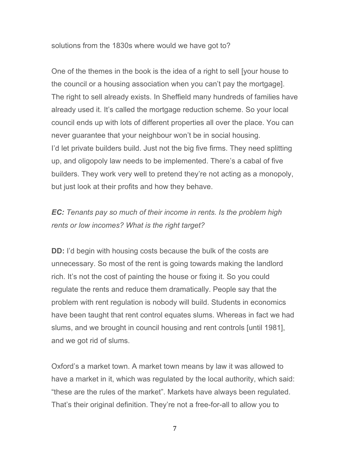solutions from the 1830s where would we have got to?

One of the themes in the book is the idea of a right to sell [your house to the council or a housing association when you can't pay the mortgage]. The right to sell already exists. In Sheffield many hundreds of families have already used it. It's called the mortgage reduction scheme. So your local council ends up with lots of different properties all over the place. You can never guarantee that your neighbour won't be in social housing. I'd let private builders build. Just not the big five firms. They need splitting up, and oligopoly law needs to be implemented. There's a cabal of five builders. They work very well to pretend they're not acting as a monopoly, but just look at their profits and how they behave.

*EC: Tenants pay so much of their income in rents. Is the problem high rents or low incomes? What is the right target?*

**DD:** I'd begin with housing costs because the bulk of the costs are unnecessary. So most of the rent is going towards making the landlord rich. It's not the cost of painting the house or fixing it. So you could regulate the rents and reduce them dramatically. People say that the problem with rent regulation is nobody will build. Students in economics have been taught that rent control equates slums. Whereas in fact we had slums, and we brought in council housing and rent controls [until 1981], and we got rid of slums.

Oxford's a market town. A market town means by law it was allowed to have a market in it, which was regulated by the local authority, which said: "these are the rules of the market". Markets have always been regulated. That's their original definition. They're not a free-for-all to allow you to